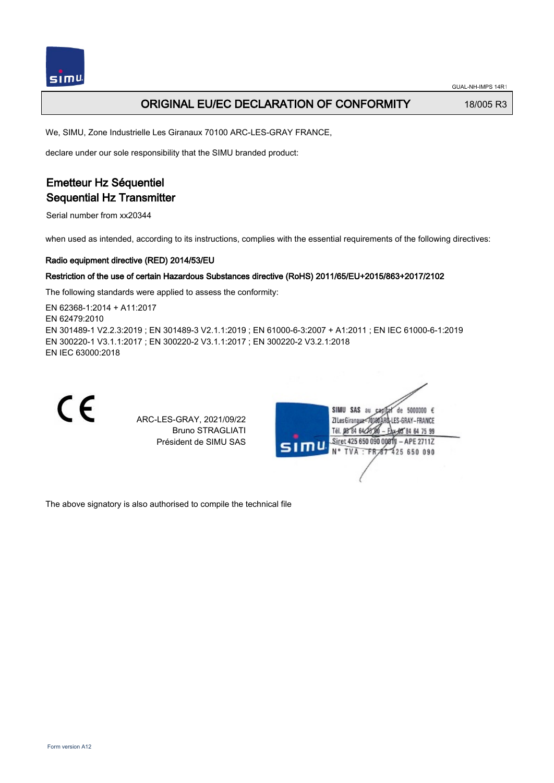## **ORIGINAL EU/EC DECLARATION OF CONFORMITY** 18/005 R3

We, SIMU, Zone Industrielle Les Giranaux 70100 ARC-LES-GRAY FRANCE,

declare under our sole responsibility that the SIMU branded product:

# Emetteur Hz Séquentiel Sequential Hz Transmitter

Serial number from xx20344

when used as intended, according to its instructions, complies with the essential requirements of the following directives:

#### Radio equipment directive (RED) 2014/53/EU

#### Restriction of the use of certain Hazardous Substances directive (RoHS) 2011/65/EU+2015/863+2017/2102

The following standards were applied to assess the conformity:

EN 62368‑1:2014 + A11:2017 EN 62479:2010 EN 301489‑1 V2.2.3:2019 ; EN 301489‑3 V2.1.1:2019 ; EN 61000‑6‑3:2007 + A1:2011 ; EN IEC 61000‑6‑1:2019 EN 300220‑1 V3.1.1:2017 ; EN 300220‑2 V3.1.1:2017 ; EN 300220‑2 V3.2.1:2018 EN IEC 63000:2018



ARC-LES-GRAY, 2021/09/22 Bruno STRAGLIATI Président de SIMU SAS



The above signatory is also authorised to compile the technical file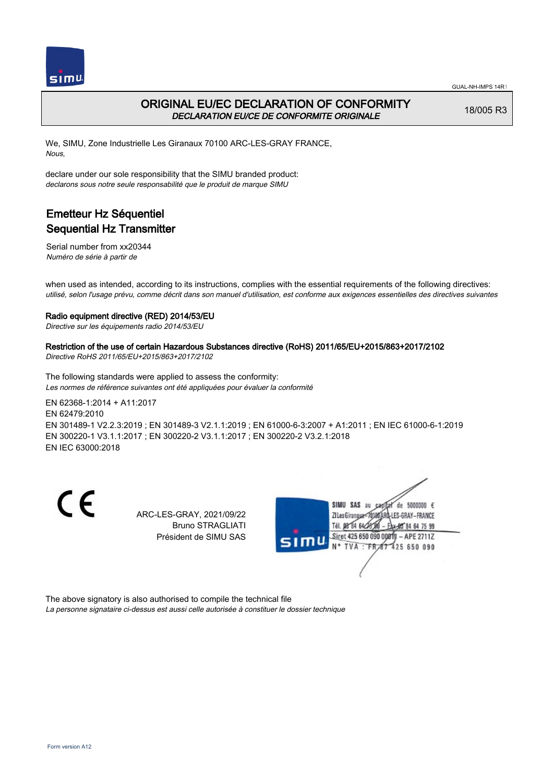

## ORIGINAL EU/EC DECLARATION OF CONFORMITY DECLARATION EU/CE DE CONFORMITE ORIGINALE

18/005 R3

We, SIMU, Zone Industrielle Les Giranaux 70100 ARC-LES-GRAY FRANCE, Nous,

declare under our sole responsibility that the SIMU branded product: declarons sous notre seule responsabilité que le produit de marque SIMU

# Emetteur Hz Séquentiel Sequential Hz Transmitter

Serial number from xx20344 Numéro de série à partir de

when used as intended, according to its instructions, complies with the essential requirements of the following directives: utilisé, selon l'usage prévu, comme décrit dans son manuel d'utilisation, est conforme aux exigences essentielles des directives suivantes

### Radio equipment directive (RED) 2014/53/EU

Directive sur les équipements radio 2014/53/EU

### Restriction of the use of certain Hazardous Substances directive (RoHS) 2011/65/EU+2015/863+2017/2102

Directive RoHS 2011/65/EU+2015/863+2017/2102

The following standards were applied to assess the conformity: Les normes de référence suivantes ont été appliquées pour évaluer la conformité

EN 62368‑1:2014 + A11:2017 EN 62479:2010 EN 301489‑1 V2.2.3:2019 ; EN 301489‑3 V2.1.1:2019 ; EN 61000‑6‑3:2007 + A1:2011 ; EN IEC 61000‑6‑1:2019 EN 300220‑1 V3.1.1:2017 ; EN 300220‑2 V3.1.1:2017 ; EN 300220‑2 V3.2.1:2018 EN IEC 63000:2018

CE

ARC-LES-GRAY, 2021/09/22 Bruno STRAGLIATI Président de SIMU SAS



The above signatory is also authorised to compile the technical file La personne signataire ci-dessus est aussi celle autorisée à constituer le dossier technique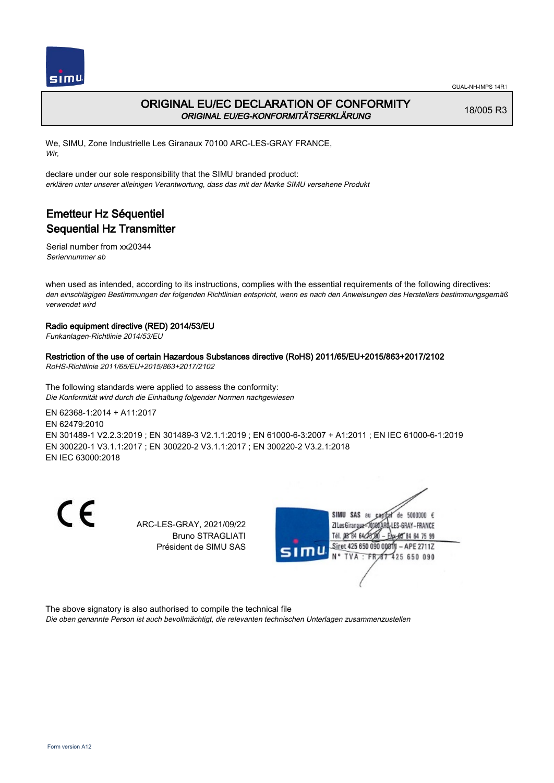



## ORIGINAL EU/EC DECLARATION OF CONFORMITY ORIGINAL EU/EG-KONFORMITÄTSERKLÄRUNG

18/005 R3

We, SIMU, Zone Industrielle Les Giranaux 70100 ARC-LES-GRAY FRANCE, Wir,

declare under our sole responsibility that the SIMU branded product: erklären unter unserer alleinigen Verantwortung, dass das mit der Marke SIMU versehene Produkt

# Emetteur Hz Séquentiel Sequential Hz Transmitter

Serial number from xx20344 Seriennummer ab

when used as intended, according to its instructions, complies with the essential requirements of the following directives: den einschlägigen Bestimmungen der folgenden Richtlinien entspricht, wenn es nach den Anweisungen des Herstellers bestimmungsgemäß verwendet wird

### Radio equipment directive (RED) 2014/53/EU

Funkanlagen-Richtlinie 2014/53/EU

### Restriction of the use of certain Hazardous Substances directive (RoHS) 2011/65/EU+2015/863+2017/2102

RoHS-Richtlinie 2011/65/EU+2015/863+2017/2102

The following standards were applied to assess the conformity: Die Konformität wird durch die Einhaltung folgender Normen nachgewiesen

EN 62368‑1:2014 + A11:2017 EN 62479:2010 EN 301489‑1 V2.2.3:2019 ; EN 301489‑3 V2.1.1:2019 ; EN 61000‑6‑3:2007 + A1:2011 ; EN IEC 61000‑6‑1:2019 EN 300220‑1 V3.1.1:2017 ; EN 300220‑2 V3.1.1:2017 ; EN 300220‑2 V3.2.1:2018 EN IEC 63000:2018

 $\epsilon$ 

ARC-LES-GRAY, 2021/09/22 Bruno STRAGLIATI Président de SIMU SAS



The above signatory is also authorised to compile the technical file

Die oben genannte Person ist auch bevollmächtigt, die relevanten technischen Unterlagen zusammenzustellen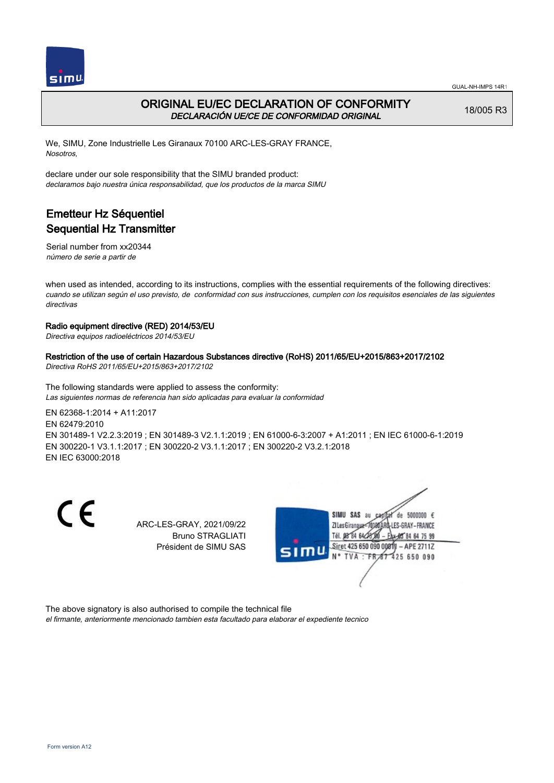



## ORIGINAL EU/EC DECLARATION OF CONFORMITY DECLARACIÓN UE/CE DE CONFORMIDAD ORIGINAL

18/005 R3

We, SIMU, Zone Industrielle Les Giranaux 70100 ARC-LES-GRAY FRANCE, Nosotros,

declare under our sole responsibility that the SIMU branded product: declaramos bajo nuestra única responsabilidad, que los productos de la marca SIMU

# Emetteur Hz Séquentiel Sequential Hz Transmitter

Serial number from xx20344 número de serie a partir de

when used as intended, according to its instructions, complies with the essential requirements of the following directives: cuando se utilizan según el uso previsto, de conformidad con sus instrucciones, cumplen con los requisitos esenciales de las siguientes directivas

### Radio equipment directive (RED) 2014/53/EU

Directiva equipos radioeléctricos 2014/53/EU

Restriction of the use of certain Hazardous Substances directive (RoHS) 2011/65/EU+2015/863+2017/2102 Directiva RoHS 2011/65/EU+2015/863+2017/2102

The following standards were applied to assess the conformity: Las siguientes normas de referencia han sido aplicadas para evaluar la conformidad

EN 62368‑1:2014 + A11:2017 EN 62479:2010 EN 301489‑1 V2.2.3:2019 ; EN 301489‑3 V2.1.1:2019 ; EN 61000‑6‑3:2007 + A1:2011 ; EN IEC 61000‑6‑1:2019 EN 300220‑1 V3.1.1:2017 ; EN 300220‑2 V3.1.1:2017 ; EN 300220‑2 V3.2.1:2018 EN IEC 63000:2018

C E

ARC-LES-GRAY, 2021/09/22 Bruno STRAGLIATI Président de SIMU SAS



The above signatory is also authorised to compile the technical file

el firmante, anteriormente mencionado tambien esta facultado para elaborar el expediente tecnico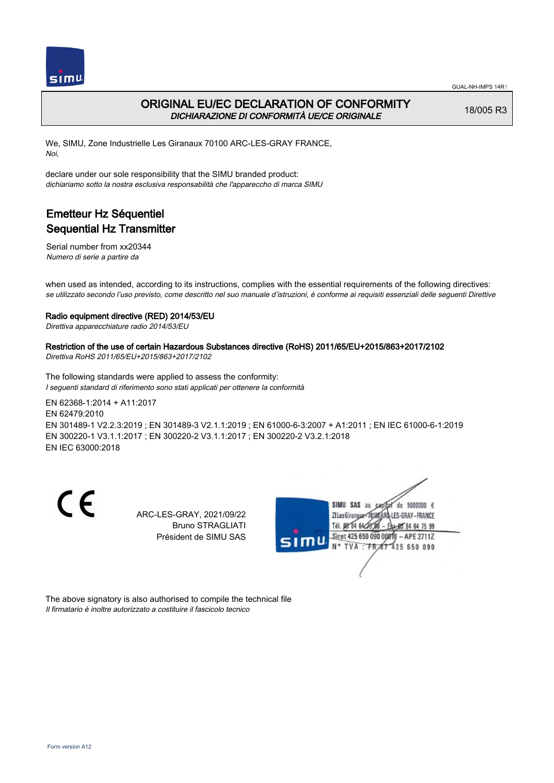

### ORIGINAL EU/EC DECLARATION OF CONFORMITY DICHIARAZIONE DI CONFORMITÀ UE/CE ORIGINALE

18/005 R3

We, SIMU, Zone Industrielle Les Giranaux 70100 ARC-LES-GRAY FRANCE, Noi,

declare under our sole responsibility that the SIMU branded product: dichiariamo sotto la nostra esclusiva responsabilità che l'appareccho di marca SIMU

# Emetteur Hz Séquentiel Sequential Hz Transmitter

Serial number from xx20344 Numero di serie a partire da

when used as intended, according to its instructions, complies with the essential requirements of the following directives: se utilizzato secondo l'uso previsto, come descritto nel suo manuale d'istruzioni, è conforme ai requisiti essenziali delle seguenti Direttive

### Radio equipment directive (RED) 2014/53/EU

Direttiva apparecchiature radio 2014/53/EU

### Restriction of the use of certain Hazardous Substances directive (RoHS) 2011/65/EU+2015/863+2017/2102

Direttiva RoHS 2011/65/EU+2015/863+2017/2102

The following standards were applied to assess the conformity: I seguenti standard di riferimento sono stati applicati per ottenere la conformità

EN 62368‑1:2014 + A11:2017 EN 62479:2010 EN 301489‑1 V2.2.3:2019 ; EN 301489‑3 V2.1.1:2019 ; EN 61000‑6‑3:2007 + A1:2011 ; EN IEC 61000‑6‑1:2019 EN 300220‑1 V3.1.1:2017 ; EN 300220‑2 V3.1.1:2017 ; EN 300220‑2 V3.2.1:2018 EN IEC 63000:2018

CE

ARC-LES-GRAY, 2021/09/22 Bruno STRAGLIATI Président de SIMU SAS



The above signatory is also authorised to compile the technical file Il firmatario è inoltre autorizzato a costituire il fascicolo tecnico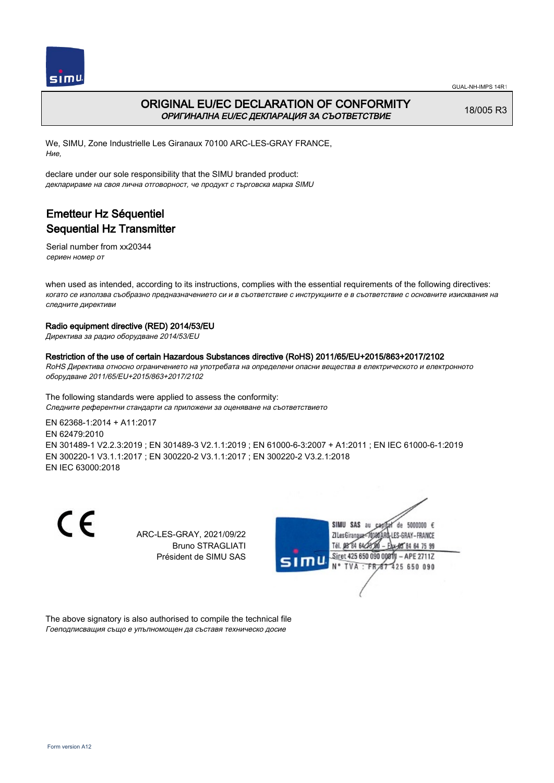



## ORIGINAL EU/EC DECLARATION OF CONFORMITY ОРИГИНАЛНА EU/EC ДЕКЛАРАЦИЯ ЗА СЪОТВЕТСТВИЕ

18/005 R3

We, SIMU, Zone Industrielle Les Giranaux 70100 ARC-LES-GRAY FRANCE, Ние,

declare under our sole responsibility that the SIMU branded product: декларираме на своя лична отговорност, че продукт с търговска марка SIMU

# Emetteur Hz Séquentiel Sequential Hz Transmitter

Serial number from xx20344 сериен номер от

when used as intended, according to its instructions, complies with the essential requirements of the following directives: когато се използва съобразно предназначението си и в съответствие с инструкциите е в съответствие с основните изисквания на следните директиви

### Radio equipment directive (RED) 2014/53/EU

Директива за радио оборудване 2014/53/EU

#### Restriction of the use of certain Hazardous Substances directive (RoHS) 2011/65/EU+2015/863+2017/2102

RoHS Директива относно ограничението на употребата на определени опасни вещества в електрическото и електронното оборудване 2011/65/EU+2015/863+2017/2102

The following standards were applied to assess the conformity: Следните референтни стандарти са приложени за оценяване на съответствието

EN 62368‑1:2014 + A11:2017 EN 62479:2010 EN 301489‑1 V2.2.3:2019 ; EN 301489‑3 V2.1.1:2019 ; EN 61000‑6‑3:2007 + A1:2011 ; EN IEC 61000‑6‑1:2019 EN 300220‑1 V3.1.1:2017 ; EN 300220‑2 V3.1.1:2017 ; EN 300220‑2 V3.2.1:2018 EN IEC 63000:2018

 $\epsilon$ 

ARC-LES-GRAY, 2021/09/22 Bruno STRAGLIATI Président de SIMU SAS



The above signatory is also authorised to compile the technical file Гоеподписващия също е упълномощен да съставя техническо досие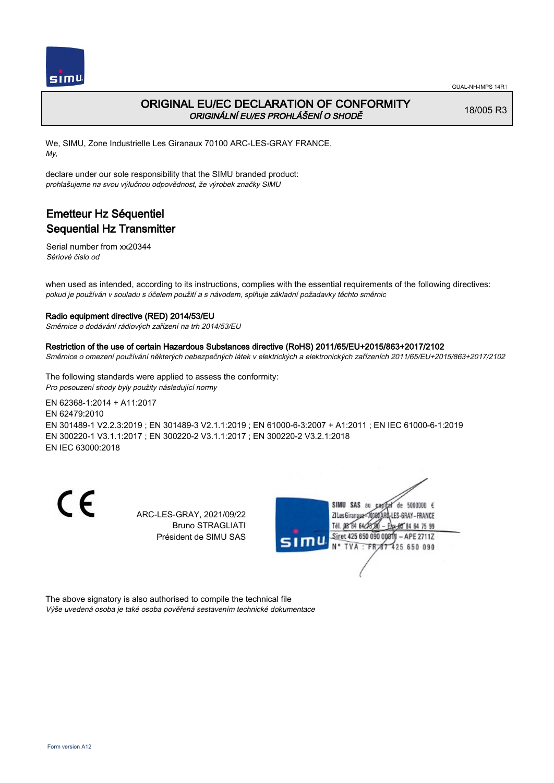

## ORIGINAL EU/EC DECLARATION OF CONFORMITY ORIGINÁLNÍ EU/ES PROHLÁŠENÍ O SHODĚ

18/005 R3

We, SIMU, Zone Industrielle Les Giranaux 70100 ARC-LES-GRAY FRANCE, My,

declare under our sole responsibility that the SIMU branded product: prohlašujeme na svou výlučnou odpovědnost, že výrobek značky SIMU

# Emetteur Hz Séquentiel Sequential Hz Transmitter

Serial number from xx20344 Sériové číslo od

when used as intended, according to its instructions, complies with the essential requirements of the following directives: pokud je používán v souladu s účelem použití a s návodem, splňuje základní požadavky těchto směrnic

### Radio equipment directive (RED) 2014/53/EU

Směrnice o dodávání rádiových zařízení na trh 2014/53/EU

#### Restriction of the use of certain Hazardous Substances directive (RoHS) 2011/65/EU+2015/863+2017/2102

Směrnice o omezení používání některých nebezpečných látek v elektrických a elektronických zařízeních 2011/65/EU+2015/863+2017/2102

The following standards were applied to assess the conformity: Pro posouzení shody byly použity následující normy

EN 62368‑1:2014 + A11:2017 EN 62479:2010 EN 301489‑1 V2.2.3:2019 ; EN 301489‑3 V2.1.1:2019 ; EN 61000‑6‑3:2007 + A1:2011 ; EN IEC 61000‑6‑1:2019 EN 300220‑1 V3.1.1:2017 ; EN 300220‑2 V3.1.1:2017 ; EN 300220‑2 V3.2.1:2018 EN IEC 63000:2018

CE

ARC-LES-GRAY, 2021/09/22 Bruno STRAGLIATI Président de SIMU SAS



The above signatory is also authorised to compile the technical file Výše uvedená osoba je také osoba pověřená sestavením technické dokumentace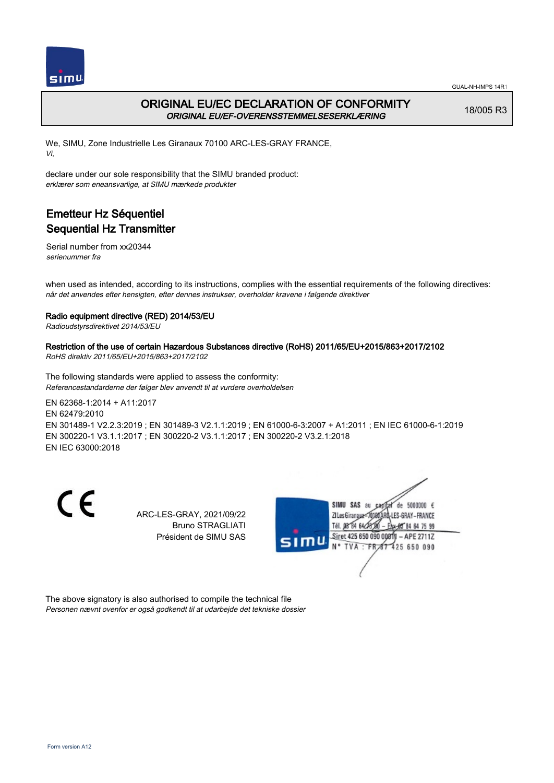



## ORIGINAL EU/EC DECLARATION OF CONFORMITY ORIGINAL EU/EF-OVERENSSTEMMELSESERKLÆRING

18/005 R3

We, SIMU, Zone Industrielle Les Giranaux 70100 ARC-LES-GRAY FRANCE, Vi,

declare under our sole responsibility that the SIMU branded product: erklærer som eneansvarlige, at SIMU mærkede produkter

# Emetteur Hz Séquentiel Sequential Hz Transmitter

Serial number from xx20344 serienummer fra

when used as intended, according to its instructions, complies with the essential requirements of the following directives: når det anvendes efter hensigten, efter dennes instrukser, overholder kravene i følgende direktiver

### Radio equipment directive (RED) 2014/53/EU

Radioudstyrsdirektivet 2014/53/EU

### Restriction of the use of certain Hazardous Substances directive (RoHS) 2011/65/EU+2015/863+2017/2102

RoHS direktiv 2011/65/EU+2015/863+2017/2102

The following standards were applied to assess the conformity: Referencestandarderne der følger blev anvendt til at vurdere overholdelsen

EN 62368‑1:2014 + A11:2017 EN 62479:2010 EN 301489‑1 V2.2.3:2019 ; EN 301489‑3 V2.1.1:2019 ; EN 61000‑6‑3:2007 + A1:2011 ; EN IEC 61000‑6‑1:2019 EN 300220‑1 V3.1.1:2017 ; EN 300220‑2 V3.1.1:2017 ; EN 300220‑2 V3.2.1:2018 EN IEC 63000:2018

 $\epsilon$ 

ARC-LES-GRAY, 2021/09/22 Bruno STRAGLIATI Président de SIMU SAS



The above signatory is also authorised to compile the technical file Personen nævnt ovenfor er også godkendt til at udarbejde det tekniske dossier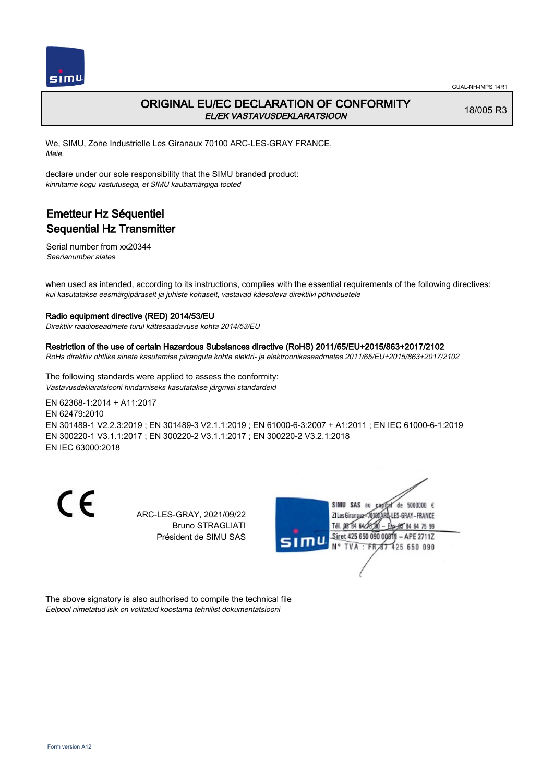

### ORIGINAL EU/EC DECLARATION OF CONFORMITY EL/EK VASTAVUSDEKLARATSIOON

18/005 R3

We, SIMU, Zone Industrielle Les Giranaux 70100 ARC-LES-GRAY FRANCE, Meie,

declare under our sole responsibility that the SIMU branded product: kinnitame kogu vastutusega, et SIMU kaubamärgiga tooted

# Emetteur Hz Séquentiel Sequential Hz Transmitter

Serial number from xx20344 Seerianumber alates

when used as intended, according to its instructions, complies with the essential requirements of the following directives: kui kasutatakse eesmärgipäraselt ja juhiste kohaselt, vastavad käesoleva direktiivi põhinõuetele

### Radio equipment directive (RED) 2014/53/EU

Direktiiv raadioseadmete turul kättesaadavuse kohta 2014/53/EU

#### Restriction of the use of certain Hazardous Substances directive (RoHS) 2011/65/EU+2015/863+2017/2102

RoHs direktiiv ohtlike ainete kasutamise piirangute kohta elektri- ja elektroonikaseadmetes 2011/65/EU+2015/863+2017/2102

The following standards were applied to assess the conformity: Vastavusdeklaratsiooni hindamiseks kasutatakse järgmisi standardeid

EN 62368‑1:2014 + A11:2017 EN 62479:2010 EN 301489‑1 V2.2.3:2019 ; EN 301489‑3 V2.1.1:2019 ; EN 61000‑6‑3:2007 + A1:2011 ; EN IEC 61000‑6‑1:2019 EN 300220‑1 V3.1.1:2017 ; EN 300220‑2 V3.1.1:2017 ; EN 300220‑2 V3.2.1:2018 EN IEC 63000:2018

 $\epsilon$ 

ARC-LES-GRAY, 2021/09/22 Bruno STRAGLIATI Président de SIMU SAS



The above signatory is also authorised to compile the technical file Eelpool nimetatud isik on volitatud koostama tehnilist dokumentatsiooni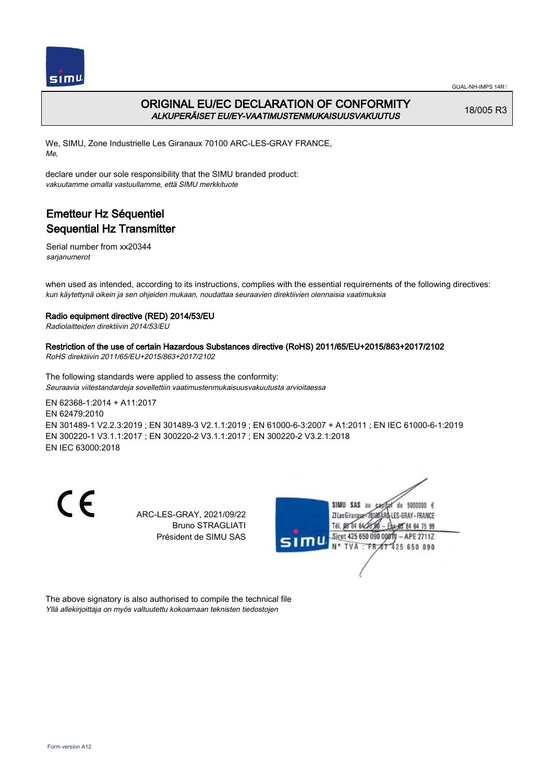

## ORIGINAL EU/EC DECLARATION OF CONFORMITY ALKUPERÄISET EU/EY-VAATIMUSTENMUKAISUUSVAKUUTUS

18/005 R3

We, SIMU, Zone Industrielle Les Giranaux 70100 ARC-LES-GRAY FRANCE, Me,

declare under our sole responsibility that the SIMU branded product: vakuutamme omalla vastuullamme, että SIMU merkkituote

# Emetteur Hz Séquentiel Sequential Hz Transmitter

Serial number from xx20344 sarianumerot

when used as intended, according to its instructions, complies with the essential requirements of the following directives: kun käytettynä oikein ja sen ohjeiden mukaan, noudattaa seuraavien direktiivien olennaisia vaatimuksia

### Radio equipment directive (RED) 2014/53/EU

Radiolaitteiden direktiivin 2014/53/EU

### Restriction of the use of certain Hazardous Substances directive (RoHS) 2011/65/EU+2015/863+2017/2102

RoHS direktiivin 2011/65/EU+2015/863+2017/2102

The following standards were applied to assess the conformity: Seuraavia viitestandardeja sovellettiin vaatimustenmukaisuusvakuutusta arvioitaessa

EN 62368‑1:2014 + A11:2017 EN 62479:2010 EN 301489‑1 V2.2.3:2019 ; EN 301489‑3 V2.1.1:2019 ; EN 61000‑6‑3:2007 + A1:2011 ; EN IEC 61000‑6‑1:2019 EN 300220‑1 V3.1.1:2017 ; EN 300220‑2 V3.1.1:2017 ; EN 300220‑2 V3.2.1:2018 EN IEC 63000:2018

 $\epsilon$ 

ARC-LES-GRAY, 2021/09/22 Bruno STRAGLIATI Président de SIMU SAS



The above signatory is also authorised to compile the technical file Yllä allekirjoittaja on myös valtuutettu kokoamaan teknisten tiedostojen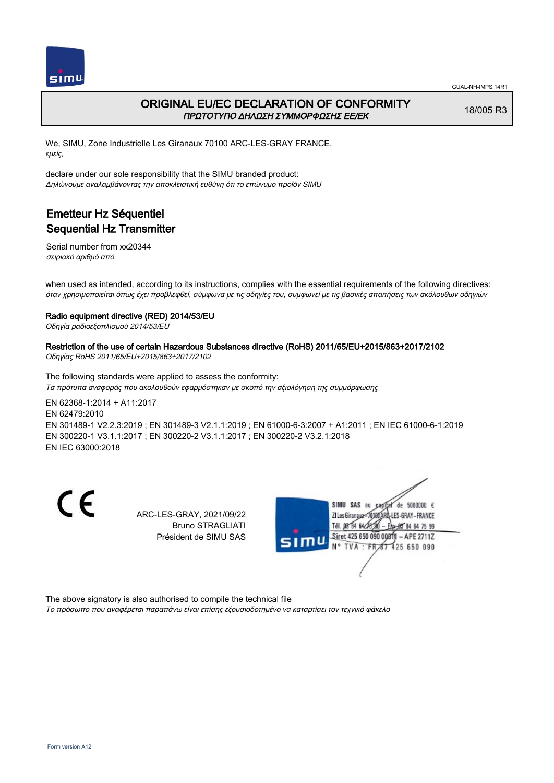

### ORIGINAL EU/EC DECLARATION OF CONFORMITY ΠΡΩΤΟΤΥΠΟ ΔΗΛΩΣΗ ΣΥΜΜΟΡΦΩΣΗΣ ΕΕ/EK

18/005 R3

We, SIMU, Zone Industrielle Les Giranaux 70100 ARC-LES-GRAY FRANCE, εμείς,

declare under our sole responsibility that the SIMU branded product: Δηλώνουμε αναλαμβάνοντας την αποκλειστική ευθύνη ότι το επώνυμο προϊόν SIMU

# Emetteur Hz Séquentiel Sequential Hz Transmitter

Serial number from xx20344 σειριακό αριθμό από

when used as intended, according to its instructions, complies with the essential requirements of the following directives: όταν χρησιμοποιείται όπως έχει προβλεφθεί, σύμφωνα με τις οδηγίες του, συμφωνεί με τις βασικές απαιτήσεις των ακόλουθων οδηγιών

### Radio equipment directive (RED) 2014/53/EU

Οδηγία ραδιοεξοπλισμού 2014/53/EU

### Restriction of the use of certain Hazardous Substances directive (RoHS) 2011/65/EU+2015/863+2017/2102

Οδηγίας RoHS 2011/65/EU+2015/863+2017/2102

The following standards were applied to assess the conformity: Τα πρότυπα αναφοράς που ακολουθούν εφαρμόστηκαν με σκοπό την αξιολόγηση της συμμόρφωσης

EN 62368‑1:2014 + A11:2017 EN 62479:2010 EN 301489‑1 V2.2.3:2019 ; EN 301489‑3 V2.1.1:2019 ; EN 61000‑6‑3:2007 + A1:2011 ; EN IEC 61000‑6‑1:2019 EN 300220‑1 V3.1.1:2017 ; EN 300220‑2 V3.1.1:2017 ; EN 300220‑2 V3.2.1:2018 EN IEC 63000:2018

C E

ARC-LES-GRAY, 2021/09/22 Bruno STRAGLIATI Président de SIMU SAS



The above signatory is also authorised to compile the technical file

Το πρόσωπο που αναφέρεται παραπάνω είναι επίσης εξουσιοδοτημένο να καταρτίσει τον τεχνικό φάκελο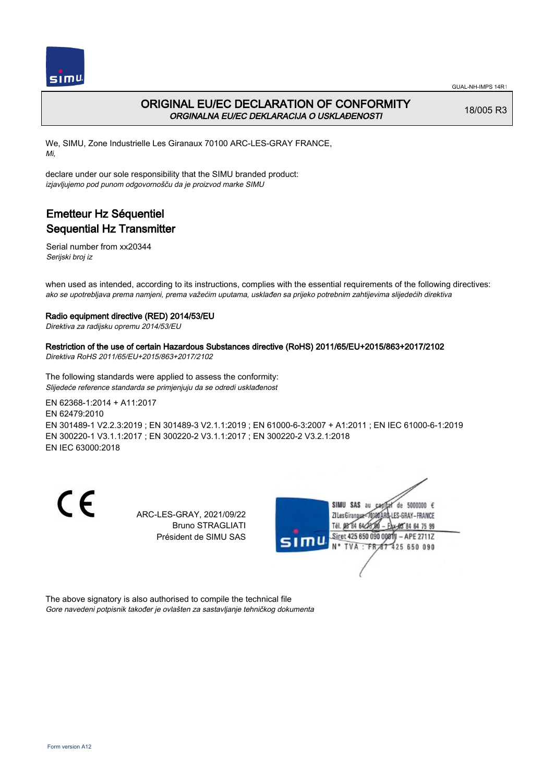

## ORIGINAL EU/EC DECLARATION OF CONFORMITY ORGINALNA EU/EC DEKLARACIJA O USKLAĐENOSTI

18/005 R3

We, SIMU, Zone Industrielle Les Giranaux 70100 ARC-LES-GRAY FRANCE, Mi,

declare under our sole responsibility that the SIMU branded product: izjavljujemo pod punom odgovornošču da je proizvod marke SIMU

# Emetteur Hz Séquentiel Sequential Hz Transmitter

Serial number from xx20344 Serijski broj iz

when used as intended, according to its instructions, complies with the essential requirements of the following directives: ako se upotrebljava prema namjeni, prema važećim uputama, usklađen sa prijeko potrebnim zahtijevima slijedećih direktiva

### Radio equipment directive (RED) 2014/53/EU

Direktiva za radijsku opremu 2014/53/EU

### Restriction of the use of certain Hazardous Substances directive (RoHS) 2011/65/EU+2015/863+2017/2102

Direktiva RoHS 2011/65/EU+2015/863+2017/2102

The following standards were applied to assess the conformity: Slijedeće reference standarda se primjenjuju da se odredi usklađenost

EN 62368‑1:2014 + A11:2017 EN 62479:2010 EN 301489‑1 V2.2.3:2019 ; EN 301489‑3 V2.1.1:2019 ; EN 61000‑6‑3:2007 + A1:2011 ; EN IEC 61000‑6‑1:2019 EN 300220‑1 V3.1.1:2017 ; EN 300220‑2 V3.1.1:2017 ; EN 300220‑2 V3.2.1:2018 EN IEC 63000:2018

 $\epsilon$ 

ARC-LES-GRAY, 2021/09/22 Bruno STRAGLIATI Président de SIMU SAS



The above signatory is also authorised to compile the technical file Gore navedeni potpisnik također je ovlašten za sastavljanje tehničkog dokumenta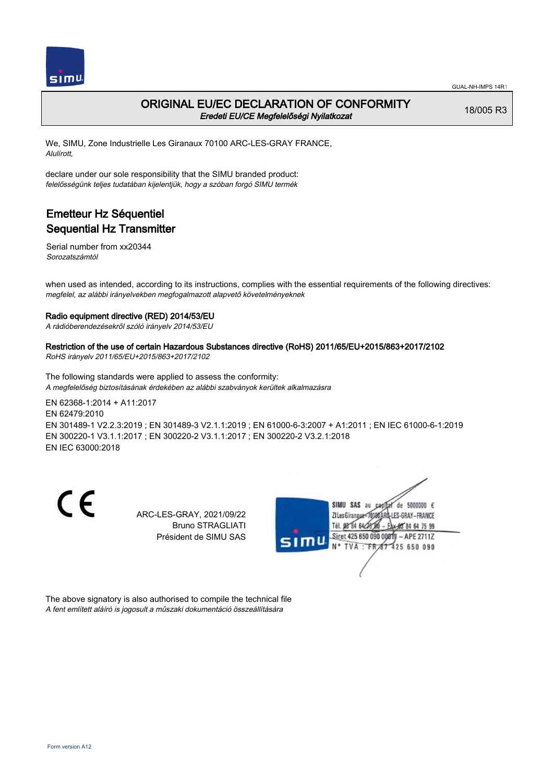

### ORIGINAL EU/EC DECLARATION OF CONFORMITY Eredeti EU/CE Megfelelőségi Nyilatkozat

18/005 R3

We, SIMU, Zone Industrielle Les Giranaux 70100 ARC-LES-GRAY FRANCE, Alulírott,

declare under our sole responsibility that the SIMU branded product: felelősségünk teljes tudatában kijelentjük, hogy a szóban forgó SIMU termék

# Emetteur Hz Séquentiel Sequential Hz Transmitter

Serial number from xx20344 Sorozatszámtól

when used as intended, according to its instructions, complies with the essential requirements of the following directives: megfelel, az alábbi irányelvekben megfogalmazott alapvető követelményeknek

### Radio equipment directive (RED) 2014/53/EU

A rádióberendezésekről szóló irányelv 2014/53/EU

#### Restriction of the use of certain Hazardous Substances directive (RoHS) 2011/65/EU+2015/863+2017/2102

RoHS irányelv 2011/65/EU+2015/863+2017/2102

The following standards were applied to assess the conformity: A megfelelőség biztosításának érdekében az alábbi szabványok kerültek alkalmazásra

EN 62368‑1:2014 + A11:2017 EN 62479:2010 EN 301489‑1 V2.2.3:2019 ; EN 301489‑3 V2.1.1:2019 ; EN 61000‑6‑3:2007 + A1:2011 ; EN IEC 61000‑6‑1:2019 EN 300220‑1 V3.1.1:2017 ; EN 300220‑2 V3.1.1:2017 ; EN 300220‑2 V3.2.1:2018 EN IEC 63000:2018

 $\epsilon$ 

ARC-LES-GRAY, 2021/09/22 Bruno STRAGLIATI Président de SIMU SAS



The above signatory is also authorised to compile the technical file A fent említett aláíró is jogosult a műszaki dokumentáció összeállítására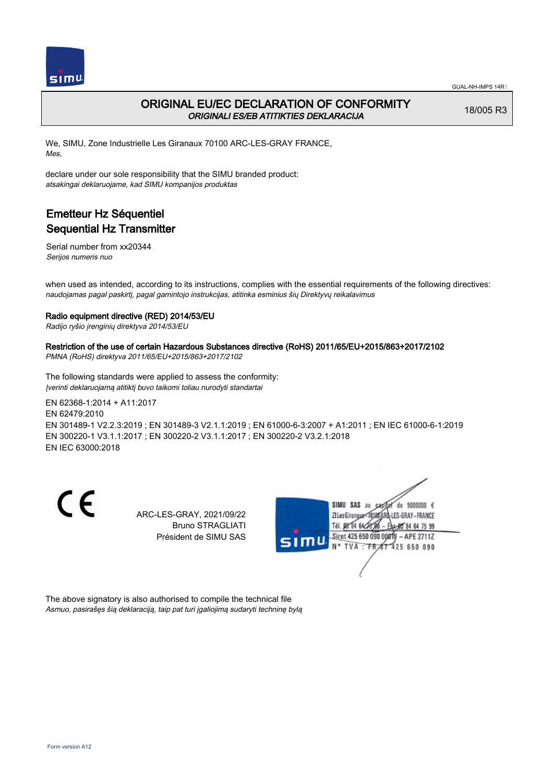

## ORIGINAL EU/EC DECLARATION OF CONFORMITY ORIGINALI ES/EB ATITIKTIES DEKLARACIJA

18/005 R3

We, SIMU, Zone Industrielle Les Giranaux 70100 ARC-LES-GRAY FRANCE, Mes,

declare under our sole responsibility that the SIMU branded product: atsakingai deklaruojame, kad SIMU kompanijos produktas

# Emetteur Hz Séquentiel Sequential Hz Transmitter

Serial number from xx20344 Serijos numeris nuo

when used as intended, according to its instructions, complies with the essential requirements of the following directives: naudojamas pagal paskirtį, pagal gamintojo instrukcijas, atitinka esminius šių Direktyvų reikalavimus

### Radio equipment directive (RED) 2014/53/EU

Radijo ryšio įrenginių direktyva 2014/53/EU

### Restriction of the use of certain Hazardous Substances directive (RoHS) 2011/65/EU+2015/863+2017/2102

PMNA (RoHS) direktyva 2011/65/EU+2015/863+2017/2102

The following standards were applied to assess the conformity: Įverinti deklaruojamą atitiktį buvo taikomi toliau nurodyti standartai

EN 62368‑1:2014 + A11:2017 EN 62479:2010 EN 301489‑1 V2.2.3:2019 ; EN 301489‑3 V2.1.1:2019 ; EN 61000‑6‑3:2007 + A1:2011 ; EN IEC 61000‑6‑1:2019 EN 300220‑1 V3.1.1:2017 ; EN 300220‑2 V3.1.1:2017 ; EN 300220‑2 V3.2.1:2018 EN IEC 63000:2018

 $\epsilon$ 

ARC-LES-GRAY, 2021/09/22 Bruno STRAGLIATI Président de SIMU SAS



The above signatory is also authorised to compile the technical file Asmuo, pasirašęs šią deklaraciją, taip pat turi įgaliojimą sudaryti techninę bylą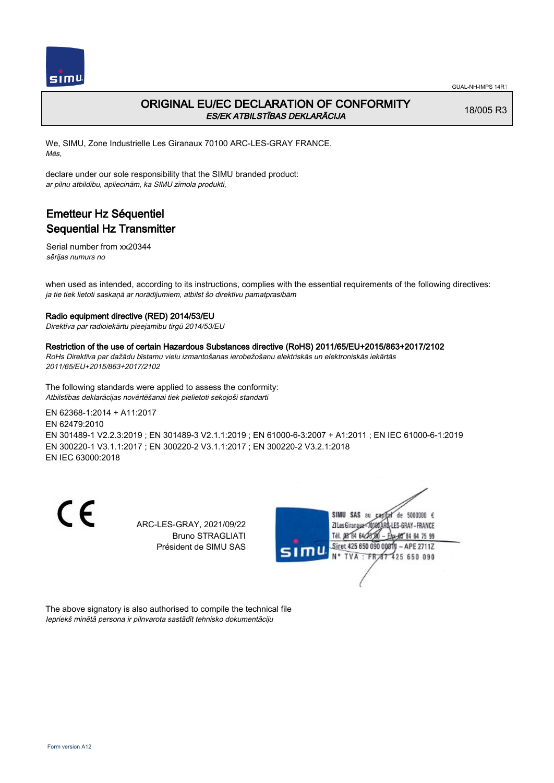

## ORIGINAL EU/EC DECLARATION OF CONFORMITY ES/EK ATBILSTĪBAS DEKLARĀCIJA

18/005 R3

We, SIMU, Zone Industrielle Les Giranaux 70100 ARC-LES-GRAY FRANCE, Mēs,

declare under our sole responsibility that the SIMU branded product: ar pilnu atbildību, apliecinām, ka SIMU zīmola produkti,

# Emetteur Hz Séquentiel Sequential Hz Transmitter

Serial number from xx20344 sērijas numurs no

when used as intended, according to its instructions, complies with the essential requirements of the following directives: ja tie tiek lietoti saskaņā ar norādījumiem, atbilst šo direktīvu pamatprasībām

### Radio equipment directive (RED) 2014/53/EU

Direktīva par radioiekārtu pieejamību tirgū 2014/53/EU

#### Restriction of the use of certain Hazardous Substances directive (RoHS) 2011/65/EU+2015/863+2017/2102

RoHs Direktīva par dažādu bīstamu vielu izmantošanas ierobežošanu elektriskās un elektroniskās iekārtās 2011/65/EU+2015/863+2017/2102

The following standards were applied to assess the conformity: Atbilstības deklarācijas novērtēšanai tiek pielietoti sekojoši standarti

EN 62368‑1:2014 + A11:2017 EN 62479:2010 EN 301489‑1 V2.2.3:2019 ; EN 301489‑3 V2.1.1:2019 ; EN 61000‑6‑3:2007 + A1:2011 ; EN IEC 61000‑6‑1:2019 EN 300220‑1 V3.1.1:2017 ; EN 300220‑2 V3.1.1:2017 ; EN 300220‑2 V3.2.1:2018 EN IEC 63000:2018

 $\epsilon$ 

ARC-LES-GRAY, 2021/09/22 Bruno STRAGLIATI Président de SIMU SAS



The above signatory is also authorised to compile the technical file Iepriekš minētā persona ir pilnvarota sastādīt tehnisko dokumentāciju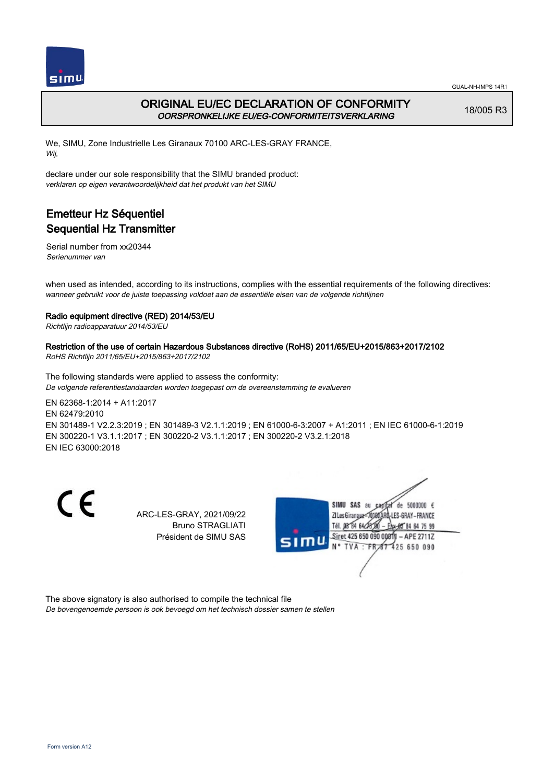

## ORIGINAL EU/EC DECLARATION OF CONFORMITY OORSPRONKELIJKE EU/EG-CONFORMITEITSVERKLARING

18/005 R3

We, SIMU, Zone Industrielle Les Giranaux 70100 ARC-LES-GRAY FRANCE, Wij,

declare under our sole responsibility that the SIMU branded product: verklaren op eigen verantwoordelijkheid dat het produkt van het SIMU

# Emetteur Hz Séquentiel Sequential Hz Transmitter

Serial number from xx20344 Serienummer van

when used as intended, according to its instructions, complies with the essential requirements of the following directives: wanneer gebruikt voor de juiste toepassing voldoet aan de essentiële eisen van de volgende richtlijnen

### Radio equipment directive (RED) 2014/53/EU

Richtlijn radioapparatuur 2014/53/EU

### Restriction of the use of certain Hazardous Substances directive (RoHS) 2011/65/EU+2015/863+2017/2102

RoHS Richtlijn 2011/65/EU+2015/863+2017/2102

The following standards were applied to assess the conformity: De volgende referentiestandaarden worden toegepast om de overeenstemming te evalueren

EN 62368‑1:2014 + A11:2017 EN 62479:2010 EN 301489‑1 V2.2.3:2019 ; EN 301489‑3 V2.1.1:2019 ; EN 61000‑6‑3:2007 + A1:2011 ; EN IEC 61000‑6‑1:2019 EN 300220‑1 V3.1.1:2017 ; EN 300220‑2 V3.1.1:2017 ; EN 300220‑2 V3.2.1:2018 EN IEC 63000:2018

 $\epsilon$ 

ARC-LES-GRAY, 2021/09/22 Bruno STRAGLIATI Président de SIMU SAS



The above signatory is also authorised to compile the technical file De bovengenoemde persoon is ook bevoegd om het technisch dossier samen te stellen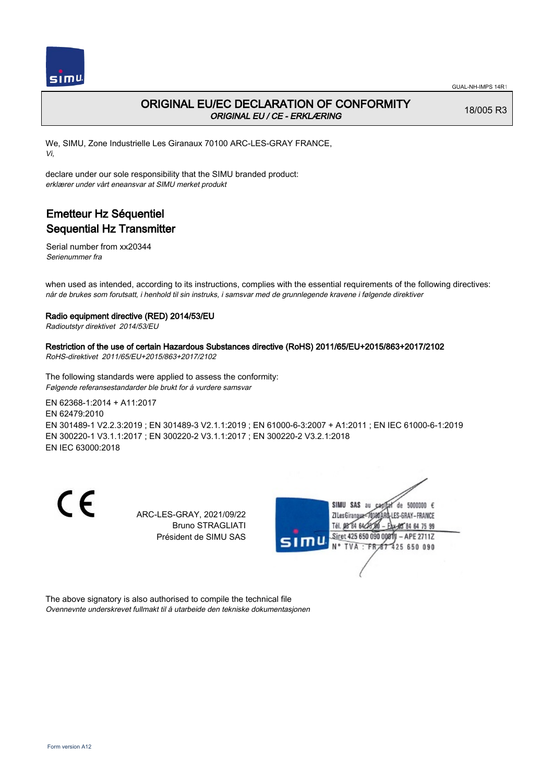

## ORIGINAL EU/EC DECLARATION OF CONFORMITY ORIGINAL EU / CE - ERKLÆRING

18/005 R3

We, SIMU, Zone Industrielle Les Giranaux 70100 ARC-LES-GRAY FRANCE, Vi,

declare under our sole responsibility that the SIMU branded product: erklærer under vårt eneansvar at SIMU merket produkt

# Emetteur Hz Séquentiel Sequential Hz Transmitter

Serial number from xx20344 Serienummer fra

when used as intended, according to its instructions, complies with the essential requirements of the following directives: når de brukes som forutsatt, i henhold til sin instruks, i samsvar med de grunnlegende kravene i følgende direktiver

### Radio equipment directive (RED) 2014/53/EU

Radioutstyr direktivet 2014/53/EU

### Restriction of the use of certain Hazardous Substances directive (RoHS) 2011/65/EU+2015/863+2017/2102

RoHS-direktivet 2011/65/EU+2015/863+2017/2102

The following standards were applied to assess the conformity: Følgende referansestandarder ble brukt for å vurdere samsvar

EN 62368‑1:2014 + A11:2017 EN 62479:2010 EN 301489‑1 V2.2.3:2019 ; EN 301489‑3 V2.1.1:2019 ; EN 61000‑6‑3:2007 + A1:2011 ; EN IEC 61000‑6‑1:2019 EN 300220‑1 V3.1.1:2017 ; EN 300220‑2 V3.1.1:2017 ; EN 300220‑2 V3.2.1:2018 EN IEC 63000:2018

 $\epsilon$ 

ARC-LES-GRAY, 2021/09/22 Bruno STRAGLIATI Président de SIMU SAS



The above signatory is also authorised to compile the technical file Ovennevnte underskrevet fullmakt til å utarbeide den tekniske dokumentasjonen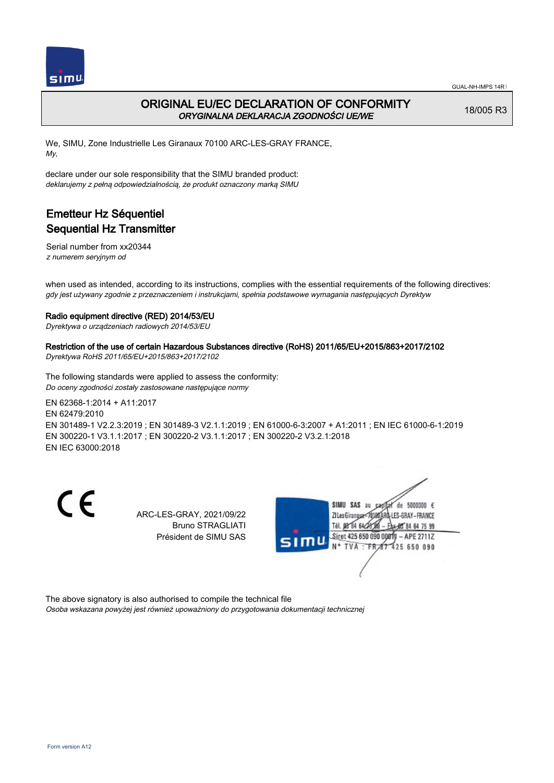

## ORIGINAL EU/EC DECLARATION OF CONFORMITY ORYGINALNA DEKLARACJA ZGODNOŚCI UE/WE

18/005 R3

We, SIMU, Zone Industrielle Les Giranaux 70100 ARC-LES-GRAY FRANCE, My,

declare under our sole responsibility that the SIMU branded product: deklarujemy z pełną odpowiedzialnością, że produkt oznaczony marką SIMU

# Emetteur Hz Séquentiel Sequential Hz Transmitter

Serial number from xx20344 z numerem seryjnym od

when used as intended, according to its instructions, complies with the essential requirements of the following directives: gdy jest używany zgodnie z przeznaczeniem i instrukcjami, spełnia podstawowe wymagania następujących Dyrektyw

### Radio equipment directive (RED) 2014/53/EU

Dyrektywa o urządzeniach radiowych 2014/53/EU

### Restriction of the use of certain Hazardous Substances directive (RoHS) 2011/65/EU+2015/863+2017/2102

Dyrektywa RoHS 2011/65/EU+2015/863+2017/2102

The following standards were applied to assess the conformity: Do oceny zgodności zostały zastosowane następujące normy

EN 62368‑1:2014 + A11:2017 EN 62479:2010 EN 301489‑1 V2.2.3:2019 ; EN 301489‑3 V2.1.1:2019 ; EN 61000‑6‑3:2007 + A1:2011 ; EN IEC 61000‑6‑1:2019 EN 300220‑1 V3.1.1:2017 ; EN 300220‑2 V3.1.1:2017 ; EN 300220‑2 V3.2.1:2018 EN IEC 63000:2018

CE

ARC-LES-GRAY, 2021/09/22 Bruno STRAGLIATI Président de SIMU SAS



The above signatory is also authorised to compile the technical file

Osoba wskazana powyżej jest również upoważniony do przygotowania dokumentacji technicznej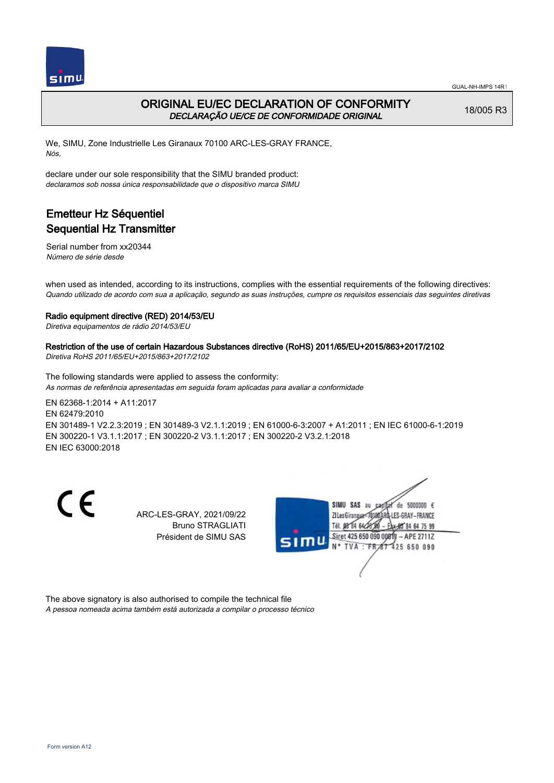

## ORIGINAL EU/EC DECLARATION OF CONFORMITY DECLARAÇÃO UE/CE DE CONFORMIDADE ORIGINAL

18/005 R3

We, SIMU, Zone Industrielle Les Giranaux 70100 ARC-LES-GRAY FRANCE, Nós,

declare under our sole responsibility that the SIMU branded product: declaramos sob nossa única responsabilidade que o dispositivo marca SIMU

# Emetteur Hz Séquentiel Sequential Hz Transmitter

Serial number from xx20344 Número de série desde

when used as intended, according to its instructions, complies with the essential requirements of the following directives: Quando utilizado de acordo com sua a aplicação, segundo as suas instruções, cumpre os requisitos essenciais das seguintes diretivas

### Radio equipment directive (RED) 2014/53/EU

Diretiva equipamentos de rádio 2014/53/EU

### Restriction of the use of certain Hazardous Substances directive (RoHS) 2011/65/EU+2015/863+2017/2102

Diretiva RoHS 2011/65/EU+2015/863+2017/2102

The following standards were applied to assess the conformity: As normas de referência apresentadas em seguida foram aplicadas para avaliar a conformidade

EN 62368‑1:2014 + A11:2017 EN 62479:2010 EN 301489‑1 V2.2.3:2019 ; EN 301489‑3 V2.1.1:2019 ; EN 61000‑6‑3:2007 + A1:2011 ; EN IEC 61000‑6‑1:2019 EN 300220‑1 V3.1.1:2017 ; EN 300220‑2 V3.1.1:2017 ; EN 300220‑2 V3.2.1:2018 EN IEC 63000:2018

CE

ARC-LES-GRAY, 2021/09/22 Bruno STRAGLIATI Président de SIMU SAS



The above signatory is also authorised to compile the technical file A pessoa nomeada acima também está autorizada a compilar o processo técnico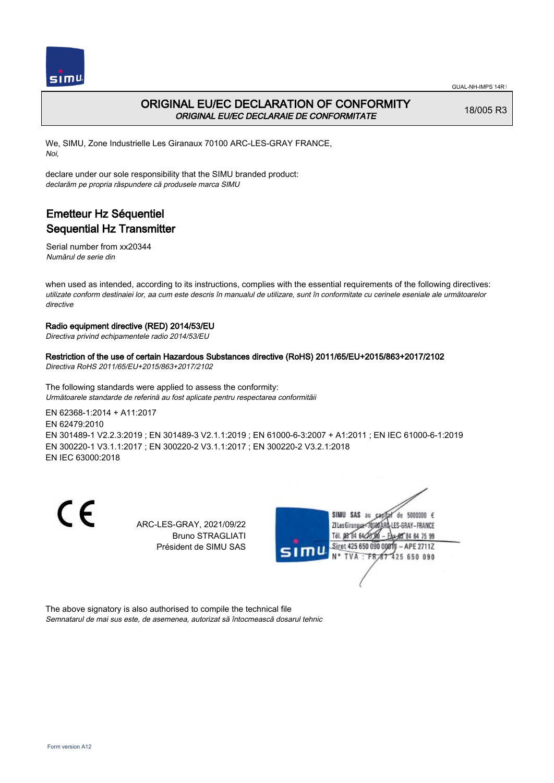

## ORIGINAL EU/EC DECLARATION OF CONFORMITY ORIGINAL EU/EC DECLARAIE DE CONFORMITATE

18/005 R3

We, SIMU, Zone Industrielle Les Giranaux 70100 ARC-LES-GRAY FRANCE, Noi,

declare under our sole responsibility that the SIMU branded product: declarăm pe propria răspundere că produsele marca SIMU

# Emetteur Hz Séquentiel Sequential Hz Transmitter

Serial number from xx20344 Numărul de serie din

when used as intended, according to its instructions, complies with the essential requirements of the following directives: utilizate conform destinaiei lor, aa cum este descris în manualul de utilizare, sunt în conformitate cu cerinele eseniale ale următoarelor directive

### Radio equipment directive (RED) 2014/53/EU

Directiva privind echipamentele radio 2014/53/EU

Restriction of the use of certain Hazardous Substances directive (RoHS) 2011/65/EU+2015/863+2017/2102 Directiva RoHS 2011/65/EU+2015/863+2017/2102

The following standards were applied to assess the conformity: Următoarele standarde de referină au fost aplicate pentru respectarea conformităii

EN 62368‑1:2014 + A11:2017 EN 62479:2010 EN 301489‑1 V2.2.3:2019 ; EN 301489‑3 V2.1.1:2019 ; EN 61000‑6‑3:2007 + A1:2011 ; EN IEC 61000‑6‑1:2019 EN 300220‑1 V3.1.1:2017 ; EN 300220‑2 V3.1.1:2017 ; EN 300220‑2 V3.2.1:2018 EN IEC 63000:2018

 $\epsilon$ 

ARC-LES-GRAY, 2021/09/22 Bruno STRAGLIATI Président de SIMU SAS



The above signatory is also authorised to compile the technical file Semnatarul de mai sus este, de asemenea, autorizat să întocmească dosarul tehnic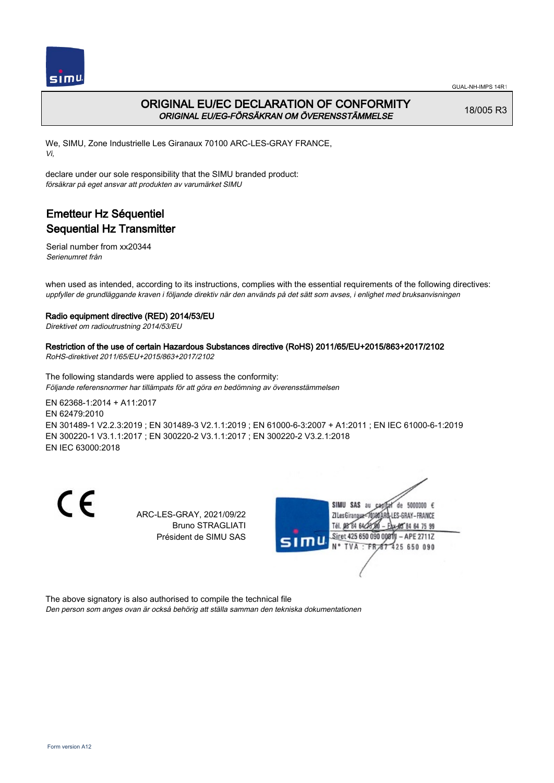

## ORIGINAL EU/EC DECLARATION OF CONFORMITY ORIGINAL EU/EG-FÖRSÄKRAN OM ÖVERENSSTÄMMELSE

18/005 R3

We, SIMU, Zone Industrielle Les Giranaux 70100 ARC-LES-GRAY FRANCE, Vi,

declare under our sole responsibility that the SIMU branded product: försäkrar på eget ansvar att produkten av varumärket SIMU

# Emetteur Hz Séquentiel Sequential Hz Transmitter

Serial number from xx20344 Serienumret från

when used as intended, according to its instructions, complies with the essential requirements of the following directives: uppfyller de grundläggande kraven i följande direktiv när den används på det sätt som avses, i enlighet med bruksanvisningen

### Radio equipment directive (RED) 2014/53/EU

Direktivet om radioutrustning 2014/53/EU

### Restriction of the use of certain Hazardous Substances directive (RoHS) 2011/65/EU+2015/863+2017/2102

RoHS-direktivet 2011/65/EU+2015/863+2017/2102

The following standards were applied to assess the conformity: Följande referensnormer har tillämpats för att göra en bedömning av överensstämmelsen

EN 62368‑1:2014 + A11:2017 EN 62479:2010 EN 301489‑1 V2.2.3:2019 ; EN 301489‑3 V2.1.1:2019 ; EN 61000‑6‑3:2007 + A1:2011 ; EN IEC 61000‑6‑1:2019 EN 300220‑1 V3.1.1:2017 ; EN 300220‑2 V3.1.1:2017 ; EN 300220‑2 V3.2.1:2018 EN IEC 63000:2018

 $\epsilon$ 

ARC-LES-GRAY, 2021/09/22 Bruno STRAGLIATI Président de SIMU SAS



The above signatory is also authorised to compile the technical file

Den person som anges ovan är också behörig att ställa samman den tekniska dokumentationen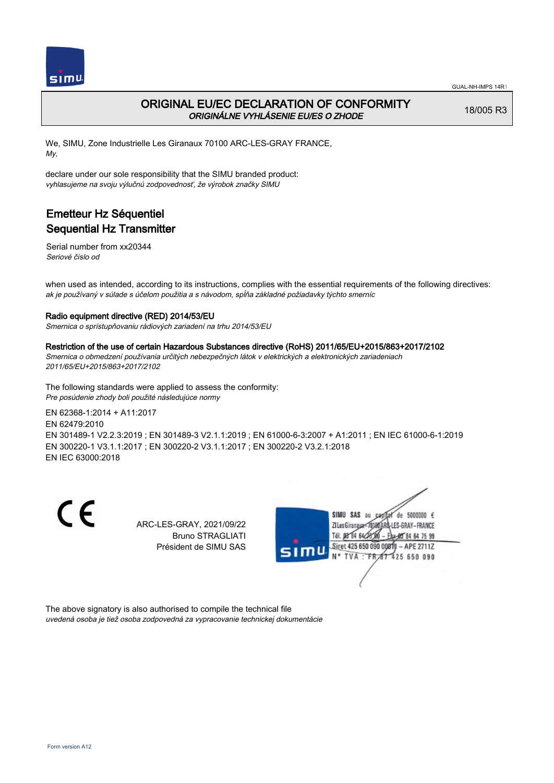

### ORIGINAL EU/EC DECLARATION OF CONFORMITY ORIGINÁLNE VYHLÁSENIE EU/ES O ZHODE

18/005 R3

We, SIMU, Zone Industrielle Les Giranaux 70100 ARC-LES-GRAY FRANCE, My,

declare under our sole responsibility that the SIMU branded product: vyhlasujeme na svoju výlučnú zodpovednosť, že výrobok značky SIMU

# Emetteur Hz Séquentiel Sequential Hz Transmitter

Serial number from xx20344 Seriové číslo od

when used as intended, according to its instructions, complies with the essential requirements of the following directives: ak je používaný v súlade s účelom použitia a s návodom, spĺňa základné požiadavky týchto smerníc

#### Radio equipment directive (RED) 2014/53/EU

Smernica o sprístupňovaniu rádiových zariadení na trhu 2014/53/EU

#### Restriction of the use of certain Hazardous Substances directive (RoHS) 2011/65/EU+2015/863+2017/2102

Smernica o obmedzení používania určitých nebezpečných látok v elektrických a elektronických zariadeniach 2011/65/EU+2015/863+2017/2102

The following standards were applied to assess the conformity: Pre posúdenie zhody boli použité následujúce normy

EN 62368‑1:2014 + A11:2017 EN 62479:2010 EN 301489‑1 V2.2.3:2019 ; EN 301489‑3 V2.1.1:2019 ; EN 61000‑6‑3:2007 + A1:2011 ; EN IEC 61000‑6‑1:2019 EN 300220‑1 V3.1.1:2017 ; EN 300220‑2 V3.1.1:2017 ; EN 300220‑2 V3.2.1:2018 EN IEC 63000:2018

 $\epsilon$ 

ARC-LES-GRAY, 2021/09/22 Bruno STRAGLIATI Président de SIMU SAS



The above signatory is also authorised to compile the technical file uvedená osoba je tiež osoba zodpovedná za vypracovanie technickej dokumentácie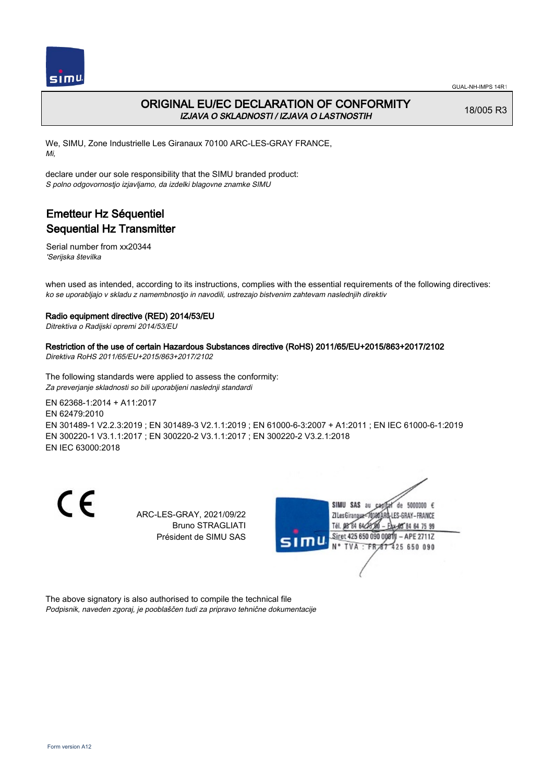

## ORIGINAL EU/EC DECLARATION OF CONFORMITY IZJAVA O SKLADNOSTI / IZJAVA O LASTNOSTIH

18/005 R3

We, SIMU, Zone Industrielle Les Giranaux 70100 ARC-LES-GRAY FRANCE, Mi,

declare under our sole responsibility that the SIMU branded product: S polno odgovornostjo izjavljamo, da izdelki blagovne znamke SIMU

# Emetteur Hz Séquentiel Sequential Hz Transmitter

Serial number from xx20344 'Serijska številka

when used as intended, according to its instructions, complies with the essential requirements of the following directives: ko se uporabljajo v skladu z namembnostjo in navodili, ustrezajo bistvenim zahtevam naslednjih direktiv

### Radio equipment directive (RED) 2014/53/EU

Ditrektiva o Radijski opremi 2014/53/EU

### Restriction of the use of certain Hazardous Substances directive (RoHS) 2011/65/EU+2015/863+2017/2102

Direktiva RoHS 2011/65/EU+2015/863+2017/2102

The following standards were applied to assess the conformity: Za preverjanje skladnosti so bili uporabljeni naslednji standardi

EN 62368‑1:2014 + A11:2017 EN 62479:2010 EN 301489‑1 V2.2.3:2019 ; EN 301489‑3 V2.1.1:2019 ; EN 61000‑6‑3:2007 + A1:2011 ; EN IEC 61000‑6‑1:2019 EN 300220‑1 V3.1.1:2017 ; EN 300220‑2 V3.1.1:2017 ; EN 300220‑2 V3.2.1:2018 EN IEC 63000:2018

 $\epsilon$ 

ARC-LES-GRAY, 2021/09/22 Bruno STRAGLIATI Président de SIMU SAS



The above signatory is also authorised to compile the technical file Podpisnik, naveden zgoraj, je pooblaščen tudi za pripravo tehnične dokumentacije